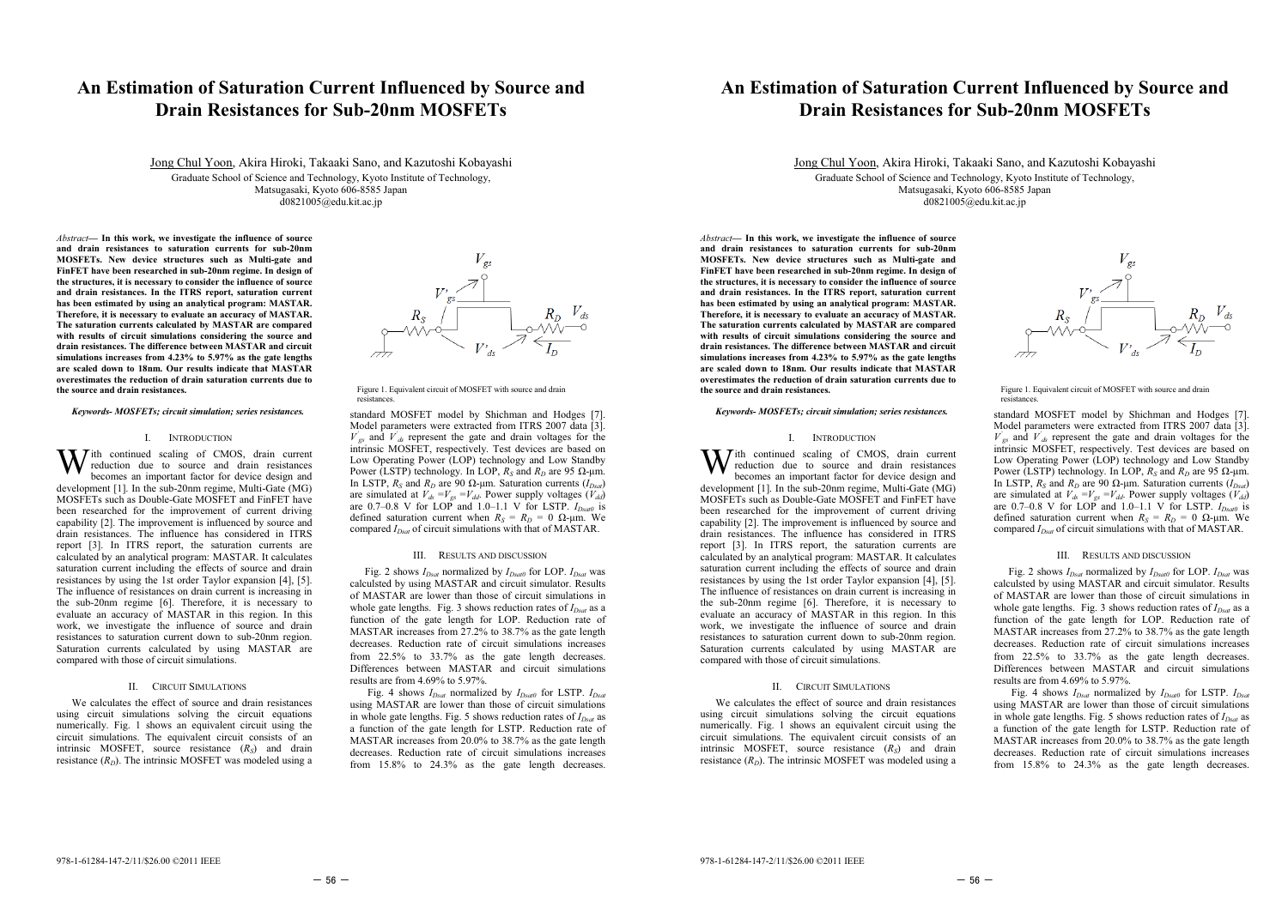# **An Estimation of Saturation Current Influenced by Source and Drain Resistances for Sub-20nm MOSFETs**

Jong Chul Yoon, Akira Hiroki, Takaaki Sano, and Kazutoshi Kobayashi

Graduate School of Science and Technology, Kyoto Institute of Technology, Matsugasaki, Kyoto 606-8585 Japan d0821005@edu.kit.ac.jp

*Abstract***— In this work, we investigate the influence of source and drain resistances to saturation currents for sub-20nm MOSFETs. New device structures such as Multi-gate and FinFET have been researched in sub-20nm regime. In design of the structures, it is necessary to consider the influence of source and drain resistances. In the ITRS report, saturation current has been estimated by using an analytical program: MASTAR. Therefore, it is necessary to evaluate an accuracy of MASTAR. The saturation currents calculated by MASTAR are compared with results of circuit simulations considering the source and drain resistances. The difference between MASTAR and circuit simulations increases from 4.23% to 5.97% as the gate lengths are scaled down to 18nm. Our results indicate that MASTAR overestimates the reduction of drain saturation currents due to the source and drain resistances.** 

*Keywords- MOSFETs; circuit simulation; series resistances.* 

## I. INTRODUCTION

**Tith** continued scaling of CMOS, drain current reduction due to source and drain resistances becomes an important factor for device design and development [1]. In the sub-20nm regime, Multi-Gate (MG) MOSFETs such as Double-Gate MOSFET and FinFET have been researched for the improvement of current driving capability [2]. The improvement is influenced by source and drain resistances. The influence has considered in ITRS report [3]. In ITRS report, the saturation currents are calculated by an analytical program: MASTAR. It calculates saturation current including the effects of source and drain resistances by using the 1st order Taylor expansion [4], [5]. The influence of resistances on drain current is increasing in the sub-20nm regime [6]. Therefore, it is necessary to evaluate an accuracy of MASTAR in this region. In this work, we investigate the influence of source and drain resistances to saturation current down to sub-20nm region. Saturation currents calculated by using MASTAR are compared with those of circuit simulations. W

### II. CIRCUIT SIMULATIONS

We calculates the effect of source and drain resistances using circuit simulations solving the circuit equations numerically. Fig. 1 shows an equivalent circuit using the circuit simulations. The equivalent circuit consists of an intrinsic MOSFET, source resistance (*RS*) and drain resistance  $(R_D)$ . The intrinsic MOSFET was modeled using a



Figure 1. Equivalent circuit of MOSFET with source and drain resistances.

standard MOSFET model by Shichman and Hodges [7]. Model parameters were extracted from ITRS 2007 data [3].  $V'_{gs}$  and  $V'_{ds}$  represent the gate and drain voltages for the intrinsic MOSFET, respectively. Test devices are based on Low Operating Power (LOP) technology and Low Standby Power (LSTP) technology. In LOP,  $R_S$  and  $R_D$  are 95  $\Omega$ -µm. In LSTP,  $R_S$  and  $R_D$  are 90  $\Omega$ -µm. Saturation currents ( $I_{Dsat}$ ) are simulated at  $V_{ds} = V_{gs} = V_{dd}$ . Power supply voltages  $(V_{dd})$ are  $0.7{\text -}0.8$  V for LOP and  $1.0{\text -}1.1$  V for LSTP.  $I_{Dsat0}$  is defined saturation current when  $R_S = R_D = 0$   $\Omega$ -µm. We compared  $I_{Dsat}$  of circuit simulations with that of MASTAR.

### III. RESULTS AND DISCUSSION

Fig. 2 shows  $I_{Dsat}$  normalized by  $I_{Dsat}$  for LOP.  $I_{Dsat}$  was calculsted by using MASTAR and circuit simulator. Results of MASTAR are lower than those of circuit simulations in whole gate lengths. Fig. 3 shows reduction rates of  $I_{D<sub>sat</sub>}$  as a function of the gate length for LOP. Reduction rate of MASTAR increases from 27.2% to 38.7% as the gate length decreases. Reduction rate of circuit simulations increases from 22.5% to 33.7% as the gate length decreases. Differences between MASTAR and circuit simulations results are from 4.69% to 5.97%.

Fig. 4 shows  $I_{Dsat}$  normalized by  $I_{Dsat0}$  for LSTP.  $I_{Dsat}$ using MASTAR are lower than those of circuit simulations in whole gate lengths. Fig. 5 shows reduction rates of  $I_{D<sub>sat</sub>}$  as a function of the gate length for LSTP. Reduction rate of MASTAR increases from 20.0% to 38.7% as the gate length decreases. Reduction rate of circuit simulations increases from 15.8% to 24.3% as the gate length decreases.